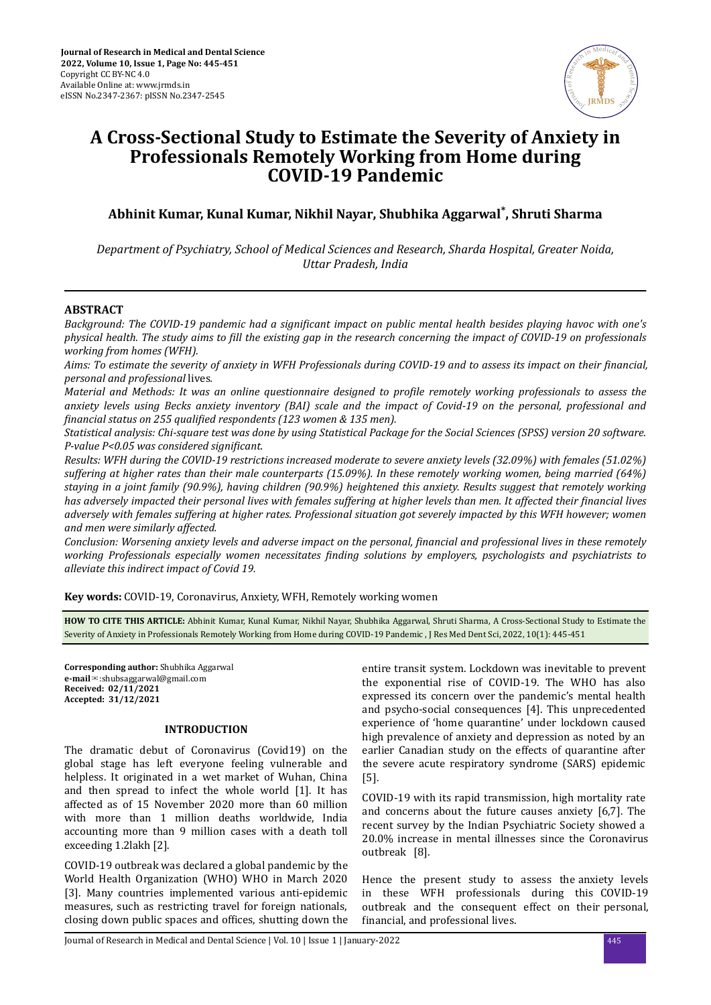

# **A Cross-Sectional Study to Estimate the Severity of Anxiety in Professionals Remotely Working from Home during COVID-19 Pandemic**

**Abhinit Kumar, Kunal Kumar, Nikhil Nayar, Shubhika Aggarwal\* , Shruti Sharma**

*Department of Psychiatry, School of Medical Sciences and Research, Sharda Hospital, Greater Noida, Uttar Pradesh, India*

# **ABSTRACT**

*Background: The COVID-19 pandemic had a significant impact on public mental health besides playing havoc with one's physical health. The study aims to fill the existing gap in the research concerning the impact of COVID-19 on professionals working from homes (WFH).*

*Aims: To estimate the severity of anxiety in WFH Professionals during COVID-19 and to assess its impact on their financial, personal and professional* lives*.*

*Material and Methods: It was an online questionnaire designed to profile remotely working professionals to assess the anxiety levels using Becks anxiety inventory (BAI) scale and the impact of Covid-19 on the personal, professional and financial status on 255 qualified respondents (123 women & 135 men).* 

*Statistical analysis: Chi-square test was done by using Statistical Package for the Social Sciences (SPSS) version 20 software. P-value P<0.05 was considered significant.* 

*Results: WFH during the COVID-19 restrictions increased moderate to severe anxiety levels (32.09%) with females (51.02%) suffering at higher rates than their male counterparts (15.09%). In these remotely working women, being married (64%) staying in a joint family (90.9%), having children (90.9%) heightened this anxiety. Results suggest that remotely working has adversely impacted their personal lives with females suffering at higher levels than men. It affected their financial lives adversely with females suffering at higher rates. Professional situation got severely impacted by this WFH however; women and men were similarly affected.*

*Conclusion: Worsening anxiety levels and adverse impact on the personal, financial and professional lives in these remotely working Professionals especially women necessitates finding solutions by employers, psychologists and psychiatrists to alleviate this indirect impact of Covid 19.*

**Key words:** COVID-19, Coronavirus, Anxiety, WFH, Remotely working women

**HOW TO CITE THIS ARTICLE:** Abhinit Kumar, Kunal Kumar, Nikhil Nayar, Shubhika Aggarwal, Shruti Sharma, A Cross-Sectional Study to Estimate the Severity of Anxiety in Professionals Remotely Working from Home during COVID-19 Pandemic , J Res Med Dent Sci, 2022, 10(1): 445-451

**Corresponding author:** Shubhika Aggarwal **e-mail**✉:shubsaggarwal@gmail.com **Received: 02/11/2021 Accepted: 31/12/2021** 

## **INTRODUCTION**

The dramatic debut of Coronavirus (Covid19) on the global stage has left everyone feeling vulnerable and helpless. It originated in a wet market of Wuhan, China and then spread to infect the whole world [1]. It has affected as of 15 November 2020 more than 60 million with more than 1 million deaths worldwide, India accounting more than 9 million cases with a death toll exceeding 1.2lakh [2].

COVID-19 outbreak was declared a global pandemic by the World Health Organization (WHO) WHO in March 2020 [3]. Many countries implemented various anti-epidemic measures, such as restricting travel for foreign nationals, closing down public spaces and offices, shutting down the entire transit system. Lockdown was inevitable to prevent the exponential rise of COVID-19. The WHO has also expressed its concern over the pandemic's mental health and psycho-social consequences [4]. This unprecedented experience of 'home quarantine' under lockdown caused high prevalence of anxiety and depression as noted by an earlier Canadian study on the effects of quarantine after the severe acute respiratory syndrome (SARS) epidemic [5].

COVID-19 with its rapid transmission, high mortality rate and concerns about the future causes anxiety [6,7]. The recent survey by the Indian Psychiatric Society showed a 20.0% increase in mental illnesses since the Coronavirus outbreak [8].

Hence the present study to assess the anxiety levels in these WFH professionals during this COVID-19 outbreak and the consequent effect on their personal, financial, and professional lives.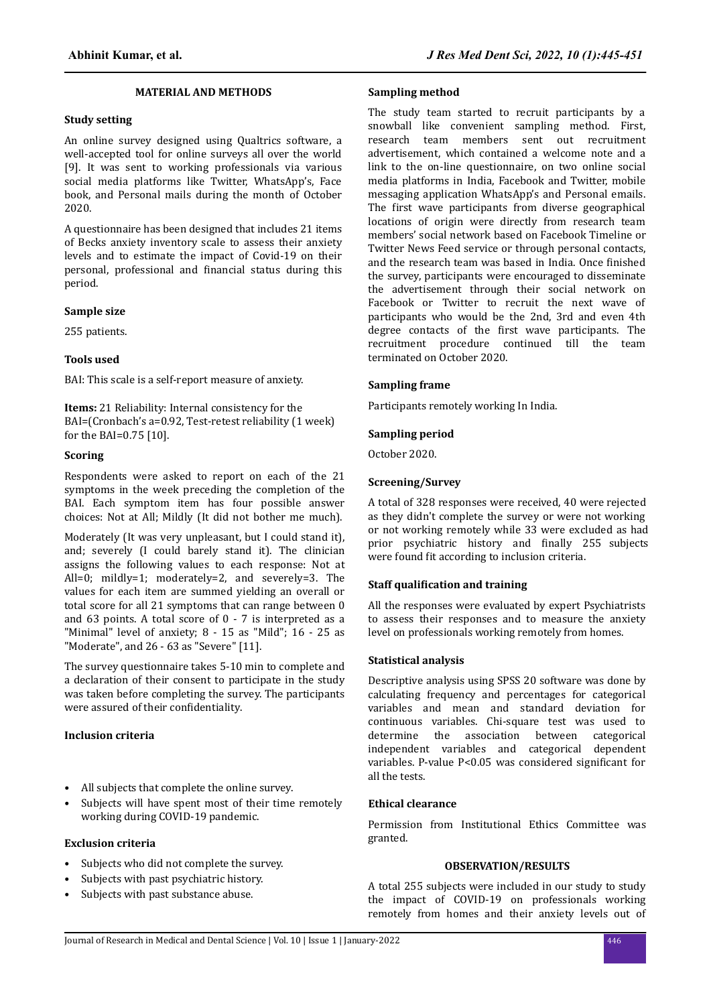## **MATERIAL AND METHODS**

#### **Study setting**

An online survey designed using Qualtrics software, a well-accepted tool for online surveys all over the world [9]. It was sent to working professionals via various social media platforms like Twitter, WhatsApp's, Face book, and Personal mails during the month of October 2020.

A questionnaire has been designed that includes 21 items of Becks anxiety inventory scale to assess their anxiety levels and to estimate the impact of Covid-19 on their personal, professional and financial status during this period.

### **Sample size**

255 patients.

# **Tools used**

BAI: This scale is a self-report measure of anxiety.

**Items:** 21 Reliability: Internal consistency for the BAI=(Cronbach's a=0.92, Test-retest reliability (1 week) for the BAI=0.75 [10].

# **Scoring**

Respondents were asked to report on each of the 21 symptoms in the week preceding the completion of the BAI. Each symptom item has four possible answer choices: Not at All; Mildly (It did not bother me much).

Moderately (It was very unpleasant, but I could stand it), and; severely (I could barely stand it). The clinician assigns the following values to each response: Not at All=0; mildly=1; moderately=2, and severely=3. The values for each item are summed yielding an overall or total score for all 21 symptoms that can range between 0 and 63 points. A total score of 0 - 7 is interpreted as a "Minimal" level of anxiety; 8 - 15 as "Mild"; 16 - 25 as "Moderate", and 26 - 63 as "Severe" [11].

The survey questionnaire takes 5-10 min to complete and a declaration of their consent to participate in the study was taken before completing the survey. The participants were assured of their confidentiality.

# **Inclusion criteria**

- All subjects that complete the online survey.
- Subjects will have spent most of their time remotely working during COVID-19 pandemic.

### **Exclusion criteria**

- Subjects who did not complete the survey.
- Subjects with past psychiatric history.
- Subjects with past substance abuse.

# **Sampling method**

The study team started to recruit participants by a snowball like convenient sampling method. First, research team members sent out recruitment advertisement, which contained a welcome note and a link to the on-line questionnaire, on two online social media platforms in India, Facebook and Twitter, mobile messaging application WhatsApp's and Personal emails. The first wave participants from diverse geographical locations of origin were directly from research team members' social network based on Facebook Timeline or Twitter News Feed service or through personal contacts, and the research team was based in India. Once finished the survey, participants were encouraged to disseminate the advertisement through their social network on Facebook or Twitter to recruit the next wave of participants who would be the 2nd, 3rd and even 4th degree contacts of the first wave participants. The recruitment procedure continued till the team terminated on October 2020.

# **Sampling frame**

Participants remotely working In India.

#### **Sampling period**

October 2020.

# **Screening/Survey**

A total of 328 responses were received, 40 were rejected as they didn't complete the survey or were not working or not working remotely while 33 were excluded as had prior psychiatric history and finally 255 subjects were found fit according to inclusion criteria.

#### **Staff qualification and training**

All the responses were evaluated by expert Psychiatrists to assess their responses and to measure the anxiety level on professionals working remotely from homes.

## **Statistical analysis**

Descriptive analysis using SPSS 20 software was done by calculating frequency and percentages for categorical variables and mean and standard deviation for continuous variables. Chi-square test was used to determine the association between categorical independent variables and categorical dependent variables. P-value P<0.05 was considered significant for all the tests.

# **Ethical clearance**

Permission from Institutional Ethics Committee was granted.

# **OBSERVATION/RESULTS**

A total 255 subjects were included in our study to study the impact of COVID-19 on professionals working remotely from homes and their anxiety levels out of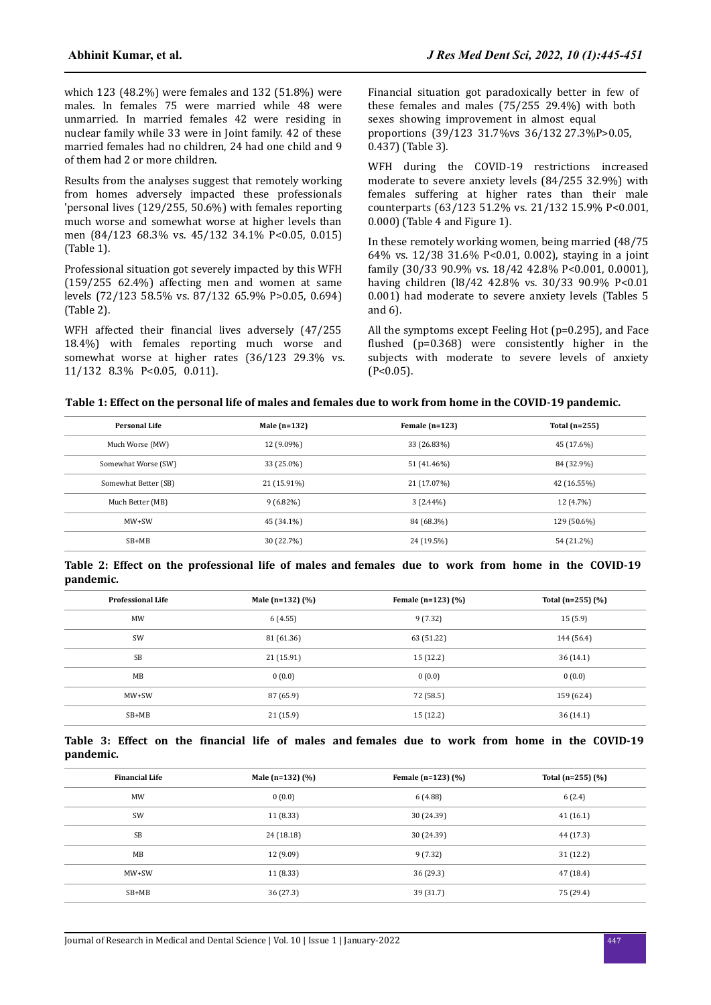which 123 (48.2%) were females and 132 (51.8%) were males. In females 75 were married while 48 were unmarried. In married females 42 were residing in nuclear family while 33 were in Joint family. 42 of these married females had no children, 24 had one child and 9 of them had 2 or more children.

Results from the analyses suggest that remotely working from homes adversely impacted these professionals 'personal lives (129/255, 50.6%) with females reporting much worse and somewhat worse at higher levels than men (84/123 68.3% vs. 45/132 34.1% P<0.05, 0.015) (Table 1).

Professional situation got severely impacted by this WFH (159/255 62.4%) affecting men and women at same levels (72/123 58.5% vs. 87/132 65.9% P>0.05, 0.694) (Table 2).

WFH affected their financial lives adversely (47/255 18.4%) with females reporting much worse and somewhat worse at higher rates (36/123 29.3% vs. 11/132 8.3% P<0.05, 0.011).

Financial situation got paradoxically better in few of these females and males (75/255 29.4%) with both sexes showing improvement in almost equal proportions (39/123 31.7%vs 36/132 27.3%P>0.05, 0.437) (Table 3).

WFH during the COVID-19 restrictions increased moderate to severe anxiety levels (84/255 32.9%) with females suffering at higher rates than their male counterparts (63/123 51.2% vs. 21/132 15.9% P<0.001, 0.000) (Table 4 and Figure 1).

In these remotely working women, being married (48/75 64% vs. 12/38 31.6% P<0.01, 0.002), staying in a joint family (30/33 90.9% vs. 18/42 42.8% P<0.001, 0.0001), having children (18/42 42.8% vs. 30/33 90.9% P<0.01 0.001) had moderate to severe anxiety levels (Tables 5 and 6).

All the symptoms except Feeling Hot (p=0.295), and Face flushed  $(p=0.368)$  were consistently higher in the subjects with moderate to severe levels of anxiety  $(P<0.05)$ .

|  | Table 1: Effect on the personal life of males and females due to work from home in the COVID-19 pandemic. |  |  |  |  |  |
|--|-----------------------------------------------------------------------------------------------------------|--|--|--|--|--|
|--|-----------------------------------------------------------------------------------------------------------|--|--|--|--|--|

| Personal Life        | Male $(n=132)$ | Female $(n=123)$ | Total $(n=255)$ |
|----------------------|----------------|------------------|-----------------|
| Much Worse (MW)      | 12 (9.09%)     | 33 (26.83%)      | 45 (17.6%)      |
| Somewhat Worse (SW)  | 33 (25.0%)     | 51 (41.46%)      | 84 (32.9%)      |
| Somewhat Better (SB) | 21 (15.91%)    | 21 (17.07%)      | 42 (16.55%)     |
| Much Better (MB)     | $9(6.82\%)$    | $3(2.44\%)$      | 12 (4.7%)       |
| $MW+SW$              | 45 (34.1%)     | 84 (68.3%)       | 129 (50.6%)     |
| $SB+MB$              | 30 (22.7%)     | 24 (19.5%)       | 54 (21.2%)      |

**Table 2: Effect on the professional life of males and females due to work from home in the COVID-19 pandemic.**

| <b>Professional Life</b> | Male (n=132) (%) | Female $(n=123)$ $(\%)$ | Total (n=255) $(\%)$ |  |
|--------------------------|------------------|-------------------------|----------------------|--|
| <b>MW</b>                | 6(4.55)          | 9 (7.32)                | 15(5.9)              |  |
| SW                       | 81 (61.36)       | 63 (51.22)              | 144 (56.4)           |  |
| <b>SB</b>                | 21(15.91)        | 15(12.2)                | 36(14.1)             |  |
| MB                       | 0(0.0)           | 0(0.0)                  | 0(0.0)               |  |
| $MW+SW$                  | 87 (65.9)        | 72 (58.5)               | 159 (62.4)           |  |
| $SB+MB$                  | 21(15.9)         | 15(12.2)                | 36 (14.1)            |  |

|           |  |  |  |  | Table 3: Effect on the financial life of males and females due to work from home in the COVID-19 |  |  |  |  |
|-----------|--|--|--|--|--------------------------------------------------------------------------------------------------|--|--|--|--|
| pandemic. |  |  |  |  |                                                                                                  |  |  |  |  |

| <b>Financial Life</b> | Male (n=132) $(\%)$ | Female $(n=123)$ $(\%)$ | Total (n=255) $(\%)$ |  |
|-----------------------|---------------------|-------------------------|----------------------|--|
| MW                    | 0(0.0)              | 6(4.88)                 | 6(2.4)               |  |
| SW                    | 11(8.33)            | 30 (24.39)              | 41(16.1)             |  |
| <b>SB</b>             | 24 (18.18)          | 30 (24.39)              | 44 (17.3)            |  |
| MB                    | 12 (9.09)           | 9(7.32)                 | 31(12.2)             |  |
| $MW+SW$               | 11(8.33)            | 36(29.3)                | 47 (18.4)            |  |
| $SB+MB$               | 36 (27.3)           | 39 (31.7)               | 75 (29.4)            |  |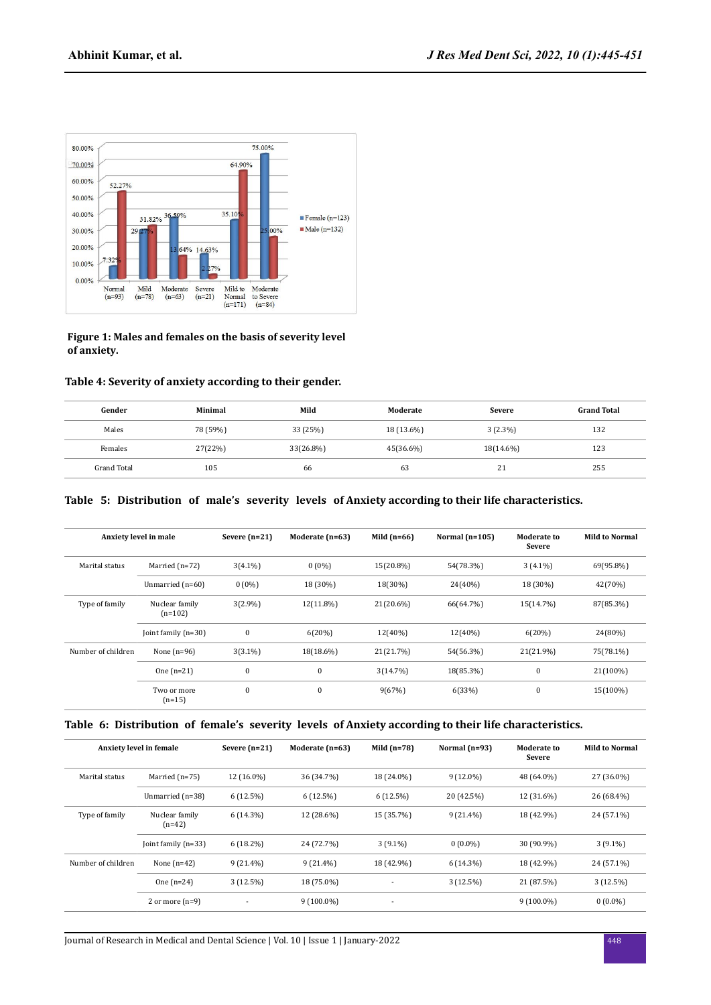

#### **Figure 1: Males and females on the basis of severity level of anxiety.**

# **Table 4: Severity of anxiety according to their gender.**

| Gender             | Minimal  | Mild      | Moderate   | <b>Severe</b> | <b>Grand Total</b> |
|--------------------|----------|-----------|------------|---------------|--------------------|
| Males              | 78 (59%) | 33 (25%)  | 18 (13.6%) | $3(2.3\%)$    | 132                |
| Females            | 27(22%)  | 33(26.8%) | 45(36.6%)  | 18(14.6%)     | 123                |
| <b>Grand Total</b> | 105      | 66        | 63         | 21            | 255                |

# **Table 5: Distribution of male's severity levels of Anxiety according to their life characteristics.**

|                    | Anxiety level in male       | Severe $(n=21)$ | Moderate (n=63) | Mild $(n=66)$ | Normal $(n=105)$ | <b>Moderate to</b><br><b>Severe</b> | <b>Mild to Normal</b> |
|--------------------|-----------------------------|-----------------|-----------------|---------------|------------------|-------------------------------------|-----------------------|
| Marital status     | Married $(n=72)$            | $3(4.1\%)$      | $0(0\%)$        | 15(20.8%)     | 54(78.3%)        | $3(4.1\%)$                          | 69(95.8%)             |
|                    | Unmarried (n=60)            | $0(0\%)$        | 18 (30%)        | 18(30%)       | 24(40%)          | 18 (30%)                            | 42(70%)               |
| Type of family     | Nuclear family<br>$(n=102)$ | $3(2.9\%)$      | 12(11.8%)       | 21(20.6%)     | 66(64.7%)        | 15(14.7%)                           | 87(85.3%)             |
|                    | Joint family $(n=30)$       | $\bf{0}$        | 6(20%)          | 12(40%)       | 12(40%)          | 6(20%)                              | 24(80%)               |
| Number of children | None $(n=96)$               | $3(3.1\%)$      | 18(18.6%)       | 21(21.7%)     | 54(56.3%)        | 21(21.9%)                           | 75(78.1%)             |
|                    | One $(n=21)$                | $\mathbf{0}$    | $\mathbf{0}$    | 3(14.7%)      | 18(85.3%)        | $\mathbf{0}$                        | 21(100%)              |
|                    | Two or more<br>$(n=15)$     | $\mathbf{0}$    | $\mathbf{0}$    | 9(67%)        | 6(33%)           | $\mathbf{0}$                        | 15(100%)              |

# **Table 6: Distribution of female's severity levels of Anxiety according to their life characteristics.**

|                    | Anxiety level in female    | Severe $(n=21)$ | Moderate (n=63) | Mild $(n=78)$            | Normal $(n=93)$ | <b>Moderate to</b><br>Severe | <b>Mild to Normal</b> |
|--------------------|----------------------------|-----------------|-----------------|--------------------------|-----------------|------------------------------|-----------------------|
| Marital status     | Married $(n=75)$           | 12 (16.0%)      | 36 (34.7%)      | 18 (24.0%)               | $9(12.0\%)$     | 48 (64.0%)                   | 27 (36.0%)            |
|                    | Unmarried (n=38)           | 6(12.5%)        | 6(12.5%)        | 6(12.5%)                 | 20 (42.5%)      | 12 (31.6%)                   | 26 (68.4%)            |
| Type of family     | Nuclear family<br>$(n=42)$ | $6(14.3\%)$     | 12 (28.6%)      | 15 (35.7%)               | $9(21.4\%)$     | 18 (42.9%)                   | 24 (57.1%)            |
|                    | Joint family $(n=33)$      | $6(18.2\%)$     | 24 (72.7%)      | $3(9.1\%)$               | $0(0.0\%)$      | 30 (90.9%)                   | $3(9.1\%)$            |
| Number of children | None $(n=42)$              | $9(21.4\%)$     | $9(21.4\%)$     | 18 (42.9%)               | $6(14.3\%)$     | 18 (42.9%)                   | 24 (57.1%)            |
|                    | One $(n=24)$               | 3(12.5%)        | 18 (75.0%)      | ٠                        | 3(12.5%)        | 21 (87.5%)                   | 3(12.5%)              |
|                    | 2 or more $(n=9)$          | $\blacksquare$  | $9(100.0\%)$    | $\overline{\phantom{a}}$ |                 | $9(100.0\%)$                 | $0(0.0\%)$            |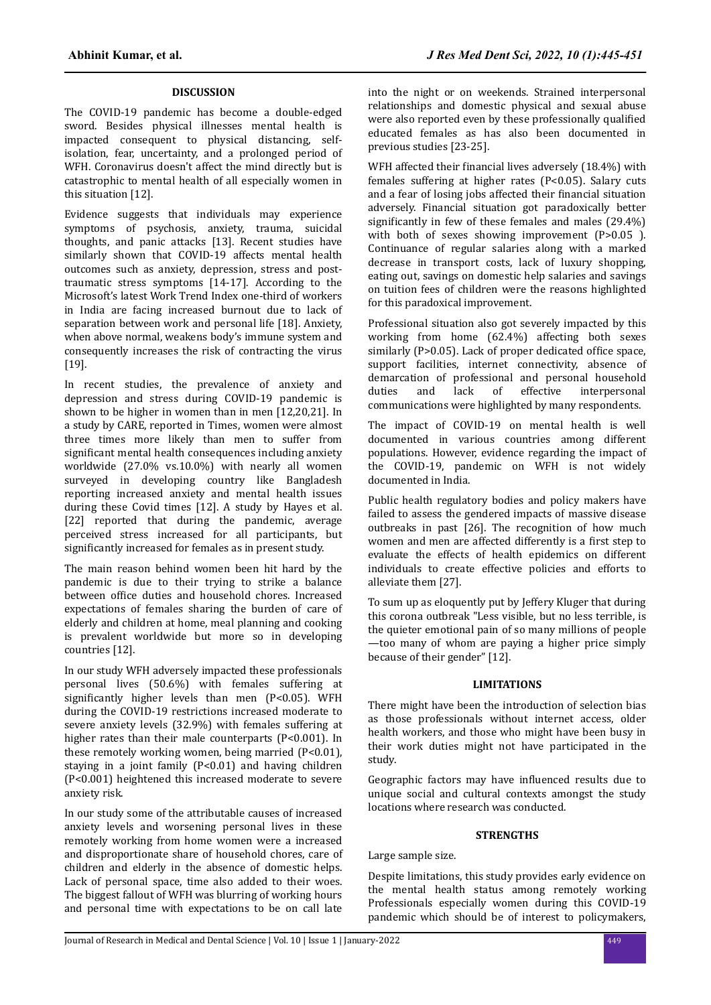# **DISCUSSION**

The COVID-19 pandemic has become a double-edged sword. Besides physical illnesses mental health is impacted consequent to physical distancing, selfisolation, fear, uncertainty, and a prolonged period of WFH. Coronavirus doesn't affect the mind directly but is catastrophic to mental health of all especially women in this situation [12].

Evidence suggests that individuals may experience symptoms of psychosis, anxiety, trauma, suicidal thoughts, and panic attacks [13]. Recent studies have similarly shown that COVID-19 affects mental health outcomes such as anxiety, depression, stress and posttraumatic stress symptoms [14-17]. According to the Microsoft's latest Work Trend Index one-third of workers in India are facing increased burnout due to lack of separation between work and personal life [18]. Anxiety, when above normal, weakens body's immune system and consequently increases the risk of contracting the virus [19].

In recent studies, the prevalence of anxiety and depression and stress during COVID-19 pandemic is shown to be higher in women than in men [12,20,21]. In a study by CARE, reported in Times, women were almost three times more likely than men to suffer from significant mental health consequences including anxiety worldwide (27.0% vs.10.0%) with nearly all women surveyed in developing country like Bangladesh reporting increased anxiety and mental health issues during these Covid times [12]. A study by Hayes et al. [22] reported that during the pandemic, average perceived stress increased for all participants, but significantly increased for females as in present study.

The main reason behind women been hit hard by the pandemic is due to their trying to strike a balance between office duties and household chores. Increased expectations of females sharing the burden of care of elderly and children at home, meal planning and cooking is prevalent worldwide but more so in developing countries [12].

In our study WFH adversely impacted these professionals personal lives (50.6%) with females suffering at significantly higher levels than men  $(P<0.05)$ . WFH during the COVID-19 restrictions increased moderate to severe anxiety levels (32.9%) with females suffering at higher rates than their male counterparts (P<0.001). In these remotely working women, being married (P<0.01), staying in a joint family (P<0.01) and having children (P<0.001) heightened this increased moderate to severe anxiety risk.

In our study some of the attributable causes of increased anxiety levels and worsening personal lives in these remotely working from home women were a increased and disproportionate share of household chores, care of children and elderly in the absence of domestic helps. Lack of personal space, time also added to their woes. The biggest fallout of WFH was blurring of working hours and personal time with expectations to be on call late

into the night or on weekends. Strained interpersonal relationships and domestic physical and sexual abuse were also reported even by these professionally qualified educated females as has also been documented in previous studies [23-25].

WFH affected their financial lives adversely (18.4%) with females suffering at higher rates (P<0.05). Salary cuts and a fear of losing jobs affected their financial situation adversely. Financial situation got paradoxically better significantly in few of these females and males  $(29.4\%)$ with both of sexes showing improvement (P>0.05 ). Continuance of regular salaries along with a marked decrease in transport costs, lack of luxury shopping, eating out, savings on domestic help salaries and savings on tuition fees of children were the reasons highlighted for this paradoxical improvement.

Professional situation also got severely impacted by this working from home (62.4%) affecting both sexes similarly (P>0.05). Lack of proper dedicated office space, support facilities, internet connectivity, absence of demarcation of professional and personal household<br>duties and lack of effective interpersonal interpersonal communications were highlighted by many respondents.

The impact of COVID-19 on mental health is well documented in various countries among different populations. However, evidence regarding the impact of the COVID-19, pandemic on WFH is not widely documented in India.

Public health regulatory bodies and policy makers have failed to assess the gendered impacts of massive disease outbreaks in past [26]. The recognition of how much women and men are affected differently is a first step to evaluate the effects of health epidemics on different individuals to create effective policies and efforts to alleviate them [27].

To sum up as eloquently put by Jeffery Kluger that during this corona outbreak "Less visible, but no less terrible, is the quieter emotional pain of so many millions of people —too many of whom are paying a higher price simply because of their gender" [12].

## **LIMITATIONS**

There might have been the introduction of selection bias as those professionals without internet access, older health workers, and those who might have been busy in their work duties might not have participated in the study.

Geographic factors may have influenced results due to unique social and cultural contexts amongst the study locations where research was conducted.

#### **STRENGTHS**

Large sample size.

Despite limitations, this study provides early evidence on the mental health status among remotely working Professionals especially women during this COVID-19 pandemic which should be of interest to policymakers,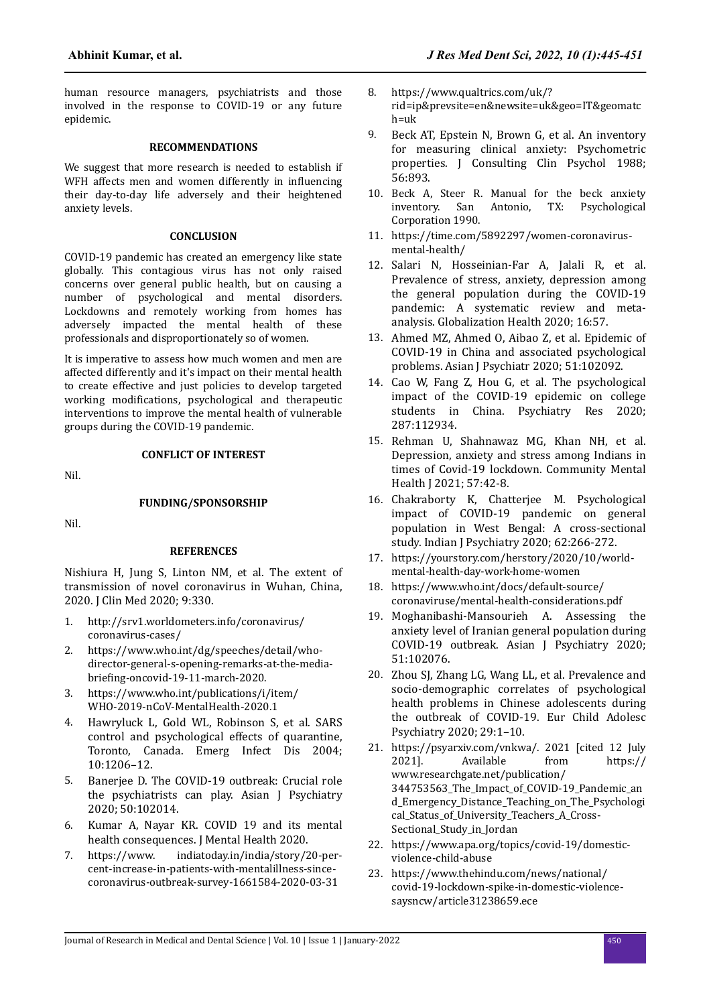human resource managers, psychiatrists and those involved in the response to COVID-19 or any future epidemic.

#### **RECOMMENDATIONS**

We suggest that more research is needed to establish if WFH affects men and women differently in influencing their day-to-day life adversely and their heightened anxiety levels.

#### **CONCLUSION**

COVID-19 pandemic has created an emergency like state globally. This contagious virus has not only raised concerns over general public health, but on causing a number of psychological and mental disorders. Lockdowns and remotely working from homes has adversely impacted the mental health of these professionals and disproportionately so of women.

It is imperative to assess how much women and men are affected differently and it's impact on their mental health to create effective and just policies to develop targeted working modifications, psychological and therapeutic interventions to improve the mental health of vulnerable groups during the COVID-19 pandemic.

Nil.

# **CONFLICT OF INTEREST**

**FUNDING/SPONSORSHIP**

Nil.

#### **REFERENCES**

[Nishiura H, Jung S, Linton NM, et al. The extent of](https://doi.org/10.3390/jcm9020330) [transmission of novel coronavirus in Wuhan, China,](https://doi.org/10.3390/jcm9020330) [2020. J Clin Med 2020; 9:330.](https://doi.org/10.3390/jcm9020330)

- 1. http://srv1.worldometers.info/coronavirus/ coronavirus-cases/
- 2. https://www.who.int/dg/speeches/detail/whodirector-general-s-opening-remarks-at-the-mediabriefing-oncovid-19-11-march-2020.
- 3. https://www.who.int/publications/i/item/ WHO-2019-nCoV-MentalHealth-2020.1
- 4. [Hawryluck L, Gold WL, Robinson S, et al. SARS](https://dx.doi.org/10.3201%2Feid1007.030703) [control and psychological effects of quarantine,](https://dx.doi.org/10.3201%2Feid1007.030703) [Toronto, Canada. Emerg Infect Dis 2004;](https://dx.doi.org/10.3201%2Feid1007.030703) [10:1206–12.](https://dx.doi.org/10.3201%2Feid1007.030703)
- 5. [Banerjee D. The COVID-19 outbreak: Crucial role](file:///C:/Users/omics/AppData/Local/Microsoft/Windows/INetCache/Content.Outlook/GKPFB0JP/The%20COVID-19%20outbreak:%20Crucial%20role%20the%20psychiatrists%20can%20play) [the psychiatrists can play. Asian J Psychiatry](file:///C:/Users/omics/AppData/Local/Microsoft/Windows/INetCache/Content.Outlook/GKPFB0JP/The%20COVID-19%20outbreak:%20Crucial%20role%20the%20psychiatrists%20can%20play) [2020; 50:102014.](file:///C:/Users/omics/AppData/Local/Microsoft/Windows/INetCache/Content.Outlook/GKPFB0JP/The%20COVID-19%20outbreak:%20Crucial%20role%20the%20psychiatrists%20can%20play)
- 6. [Kumar A, Nayar KR. COVID 19 and its mental](https://doi.org/10.1080/09638237.2020.1757052) [health consequences. J Mental Health 2020.](https://doi.org/10.1080/09638237.2020.1757052)<br>https://www. indiatoday.in/india/story/2
- 7. https://www. indiatoday.in/india/story/20-percent-increase-in-patients-with-mentalillness-sincecoronavirus-outbreak-survey-1661584-2020-03-31
- 8. https://www.qualtrics.com/uk/? rid=ip&prevsite=en&newsite=uk&geo=IT&geomatc h=uk
- 9. [Beck AT, Epstein N, Brown G, et al. An inventory](file:///C:/Users/omics/AppData/Local/Microsoft/Windows/INetCache/Content.Outlook/GKPFB0JP/An%20inventory%20for%20measuring%20clinical%20anxiety:%20Psychometric%20prop) [for measuring clinical anxiety: Psychometric](file:///C:/Users/omics/AppData/Local/Microsoft/Windows/INetCache/Content.Outlook/GKPFB0JP/An%20inventory%20for%20measuring%20clinical%20anxiety:%20Psychometric%20prop) [properties. J Consulting Clin Psychol 1988;](file:///C:/Users/omics/AppData/Local/Microsoft/Windows/INetCache/Content.Outlook/GKPFB0JP/An%20inventory%20for%20measuring%20clinical%20anxiety:%20Psychometric%20prop) [56:893.](file:///C:/Users/omics/AppData/Local/Microsoft/Windows/INetCache/Content.Outlook/GKPFB0JP/An%20inventory%20for%20measuring%20clinical%20anxiety:%20Psychometric%20prop)
- 10. Beck A, Steer R. Manual for the beck anxiety inventory. San Antonio, TX: Psychological Corporation 1990.
- 11. https://time.com/5892297/women-coronavirusmental-health/
- 12. [Salari N, Hosseinian-Far A, Jalali R, et al.](https://doi.org/10.1186/s12992-020-00589-w) [Prevalence of stress, anxiety, depression among](https://doi.org/10.1186/s12992-020-00589-w) [the general population during the COVID-19](https://doi.org/10.1186/s12992-020-00589-w) [pandemic: A systematic review and meta](https://doi.org/10.1186/s12992-020-00589-w)[analysis. Globalization Health 2020; 16:57.](https://doi.org/10.1186/s12992-020-00589-w)
- 13. [Ahmed MZ, Ahmed O, Aibao Z, et al. Epidemic of](https://doi.org/10.1016/j.ajp.2020.102092) [COVID-19 in China and associated psychological](https://doi.org/10.1016/j.ajp.2020.102092) [problems. Asian J Psychiatr 2020; 51:102092.](https://doi.org/10.1016/j.ajp.2020.102092)
- 14. [Cao W, Fang Z, Hou G, et al. The psychological](https://doi.org/10.1016/j.psychres.2020.112934) [impact of the COVID-19 epidemic on college](https://doi.org/10.1016/j.psychres.2020.112934) [students in China. Psychiatry Res 2020;](https://doi.org/10.1016/j.psychres.2020.112934) [287:112934.](https://doi.org/10.1016/j.psychres.2020.112934)
- 15. [Rehman U, Shahnawaz MG, Khan NH, et al.](https://doi.org/10.1007/s10597-020-00664-x) [Depression, anxiety and stress among Indians in](https://doi.org/10.1007/s10597-020-00664-x) [times of Covid-19 lockdown. Community Mental](https://doi.org/10.1007/s10597-020-00664-x) [Health J 2021; 57:42-8.](https://doi.org/10.1007/s10597-020-00664-x)
- 16. [Chakraborty K, Chatterjee M. Psychological](https://dx.doi.org/10.4103%2Fpsychiatry.IndianJPsychiatry_276_20) [impact of COVID-19 pandemic on general](https://dx.doi.org/10.4103%2Fpsychiatry.IndianJPsychiatry_276_20) [population in West Bengal: A cross-sectional](https://dx.doi.org/10.4103%2Fpsychiatry.IndianJPsychiatry_276_20) [study. Indian J Psychiatry 2020; 62:266-272.](https://dx.doi.org/10.4103%2Fpsychiatry.IndianJPsychiatry_276_20)
- 17. https://yourstory.com/herstory/2020/10/worldmental-health-day-work-home-women
- 18. https://www.who.int/docs/default-source/ coronaviruse/mental-health-considerations.pdf
- 19. [Moghanibashi-Mansourieh A. Assessing the](https://doi.org/10.1016/j.ajp.2020.102076) [anxiety level of Iranian general population during](https://doi.org/10.1016/j.ajp.2020.102076) [COVID-19 outbreak. Asian J Psychiatry 2020;](https://doi.org/10.1016/j.ajp.2020.102076) [51:102076.](https://doi.org/10.1016/j.ajp.2020.102076)
- 20. [Zhou SJ, Zhang LG, Wang LL, et al. Prevalence and](https://doi.org/10.1007/s00787-020-01541-4) [socio-demographic correlates of psychological](https://doi.org/10.1007/s00787-020-01541-4) [health problems in Chinese adolescents during](https://doi.org/10.1007/s00787-020-01541-4) [the outbreak of COVID-19. Eur Child Adolesc](https://doi.org/10.1007/s00787-020-01541-4) [Psychiatry 2020; 29:1–10.](https://doi.org/10.1007/s00787-020-01541-4)
- 21. https://psyarxiv.com/vnkwa/. 2021 [cited 12 July 2021]. Available from https:// Available www.researchgate.net/publication/ 344753563\_The\_Impact\_of\_COVID-19\_Pandemic\_an d\_Emergency\_Distance\_Teaching\_on\_The\_Psychologi cal\_Status\_of\_University\_Teachers\_A\_Cross-Sectional\_Study\_in\_Jordan
- 22. https://www.apa.org/topics/covid-19/domesticviolence-child-abuse
- 23. https://www.thehindu.com/news/national/ covid-19-lockdown-spike-in-domestic-violencesaysncw/article31238659.ece